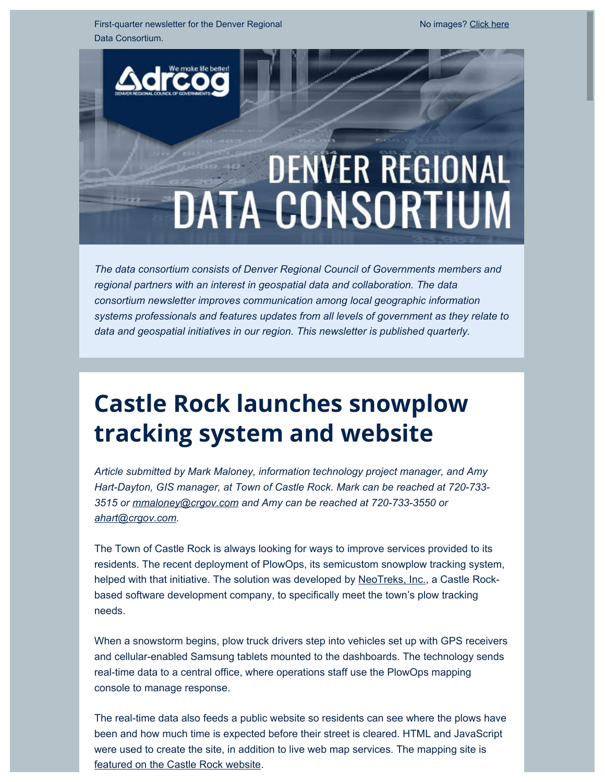First-quarter newsletter for the Denver Regional Data Consortium.

# **DENVER REGIONAL DATA CONSORTIUM**

*The data consortium consists of Denver Regional Council of Governments members and regional partners with an interest in geospatial data and collaboration. The data consortium newsletter improves communication among local geographic information systems professionals and features updates from all levels of government as they relate to data and geospatial initiatives in our region. This newsletter is published quarterly.*

# **Castle Rock launches snowplow tracking system and website**

*Article submitted by Mark Maloney, information technology project manager, and Amy Hart-Dayton, GIS manager, at Town of Castle Rock. Mark can be reached at 720-733- 3515 or [mmaloney@crgov.com](mailto:mmaloney@crgov.com) and Amy can be reached at 720-733-3550 or [ahart@crgov.com.](mailto:ahart@crgov.com)*

The Town of Castle Rock is always looking for ways to improve services provided to its residents. The recent deployment of PlowOps, its semicustom snowplow tracking system, helped with that initiative. The solution was developed by [NeoTreks, Inc.](https://drcog.createsend1.com/t/d-l-xujdhit-l-y/), a Castle Rockbased software development company, to specifically meet the town's plow tracking needs.

When a snowstorm begins, plow truck drivers step into vehicles set up with GPS receivers and cellular-enabled Samsung tablets mounted to the dashboards. The technology sends real-time data to a central office, where operations staff use the PlowOps mapping console to manage response.

The real-time data also feeds a public website so residents can see where the plows have been and how much time is expected before their street is cleared. HTML and JavaScript were used to create the site, in addition to live web map services. The mapping site is [featured on the Castle Rock website](https://drcog.createsend1.com/t/d-l-xujdhit-l-j/).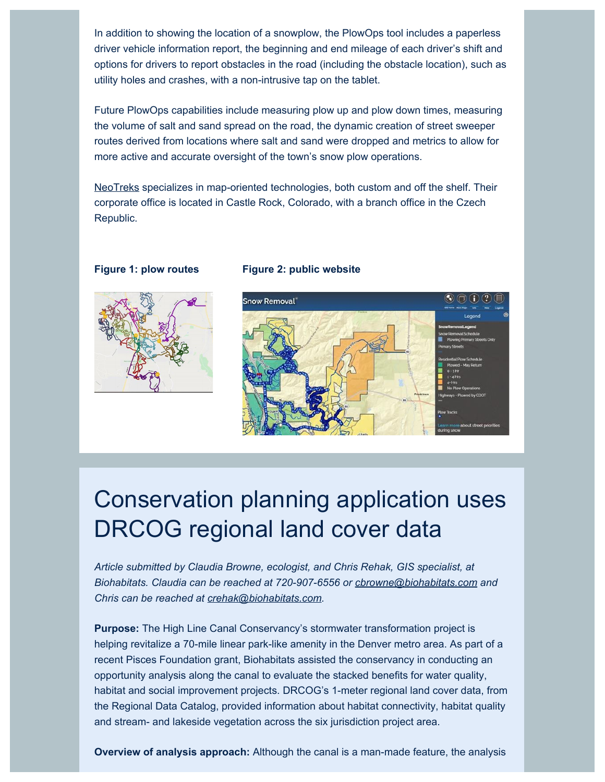In addition to showing the location of a snowplow, the PlowOps tool includes a paperless driver vehicle information report, the beginning and end mileage of each driver's shift and options for drivers to report obstacles in the road (including the obstacle location), such as utility holes and crashes, with a non-intrusive tap on the tablet.

Future PlowOps capabilities include measuring plow up and plow down times, measuring the volume of salt and sand spread on the road, the dynamic creation of street sweeper routes derived from locations where salt and sand were dropped and metrics to allow for more active and accurate oversight of the town's snow plow operations.

[NeoTreks](https://drcog.createsend1.com/t/d-l-xujdhit-l-t/) specializes in map-oriented technologies, both custom and off the shelf. Their corporate office is located in Castle Rock, Colorado, with a branch office in the Czech Republic.



#### **Figure 1: plow routes Figure 2: public website**



### Conservation planning application uses DRCOG regional land cover data

*Article submitted by Claudia Browne, ecologist, and Chris Rehak, GIS specialist, at Biohabitats. Claudia can be reached at 720-907-6556 or [cbrowne@biohabitats.com](mailto:cbrowne@biohabitats.com) and Chris can be reached at [crehak@biohabitats.com.](mailto:crehak@biohabitats.com)*

**Purpose:** The High Line Canal Conservancy's stormwater transformation project is helping revitalize a 70-mile linear park-like amenity in the Denver metro area. As part of a recent Pisces Foundation grant, Biohabitats assisted the conservancy in conducting an opportunity analysis along the canal to evaluate the stacked benefits for water quality, habitat and social improvement projects. DRCOG's 1-meter regional land cover data, from the Regional Data Catalog, provided information about habitat connectivity, habitat quality and stream- and lakeside vegetation across the six jurisdiction project area.

**Overview of analysis approach:** Although the canal is a man-made feature, the analysis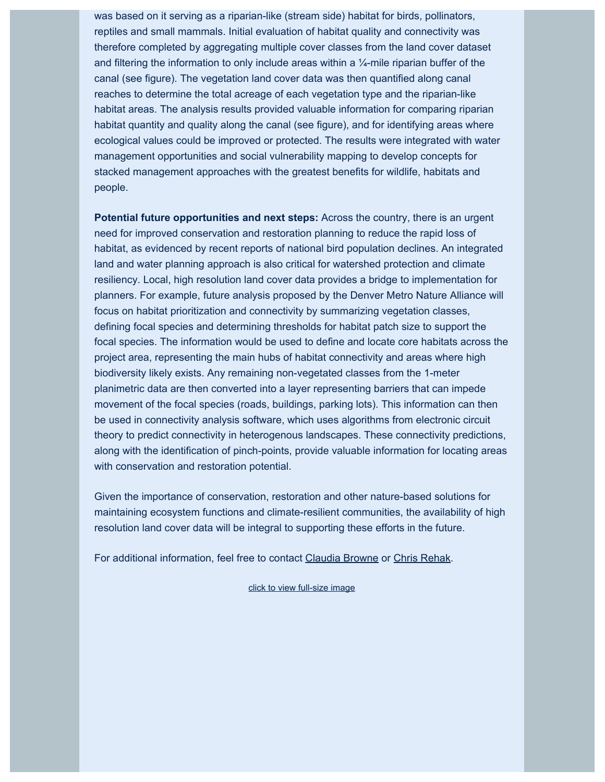was based on it serving as a riparian-like (stream side) habitat for birds, pollinators, reptiles and small mammals. Initial evaluation of habitat quality and connectivity was therefore completed by aggregating multiple cover classes from the land cover dataset and filtering the information to only include areas within a  $\frac{1}{4}$ -mile riparian buffer of the canal (see figure). The vegetation land cover data was then quantified along canal reaches to determine the total acreage of each vegetation type and the riparian-like habitat areas. The analysis results provided valuable information for comparing riparian habitat quantity and quality along the canal (see figure), and for identifying areas where ecological values could be improved or protected. The results were integrated with water management opportunities and social vulnerability mapping to develop concepts for stacked management approaches with the greatest benefits for wildlife, habitats and people.

**Potential future opportunities and next steps:** Across the country, there is an urgent need for improved conservation and restoration planning to reduce the rapid loss of habitat, as evidenced by recent reports of national bird population declines. An integrated land and water planning approach is also critical for watershed protection and climate resiliency. Local, high resolution land cover data provides a bridge to implementation for planners. For example, future analysis proposed by the Denver Metro Nature Alliance will focus on habitat prioritization and connectivity by summarizing vegetation classes, defining focal species and determining thresholds for habitat patch size to support the focal species. The information would be used to define and locate core habitats across the project area, representing the main hubs of habitat connectivity and areas where high biodiversity likely exists. Any remaining non-vegetated classes from the 1-meter planimetric data are then converted into a layer representing barriers that can impede movement of the focal species (roads, buildings, parking lots). This information can then be used in connectivity analysis software, which uses algorithms from electronic circuit theory to predict connectivity in heterogenous landscapes. These connectivity predictions, along with the identification of pinch-points, provide valuable information for locating areas with conservation and restoration potential.

Given the importance of conservation, restoration and other nature-based solutions for maintaining ecosystem functions and climate-resilient communities, the availability of high resolution land cover data will be integral to supporting these efforts in the future.

For additional information, feel free to contact [Claudia Browne](mailto:cbrowne@biohabitats.com) or [Chris Rehak](mailto:crehak@biohabitats.com).

[click to view full-size image](https://drcog.createsend1.com/t/d-l-xujdhit-l-i/)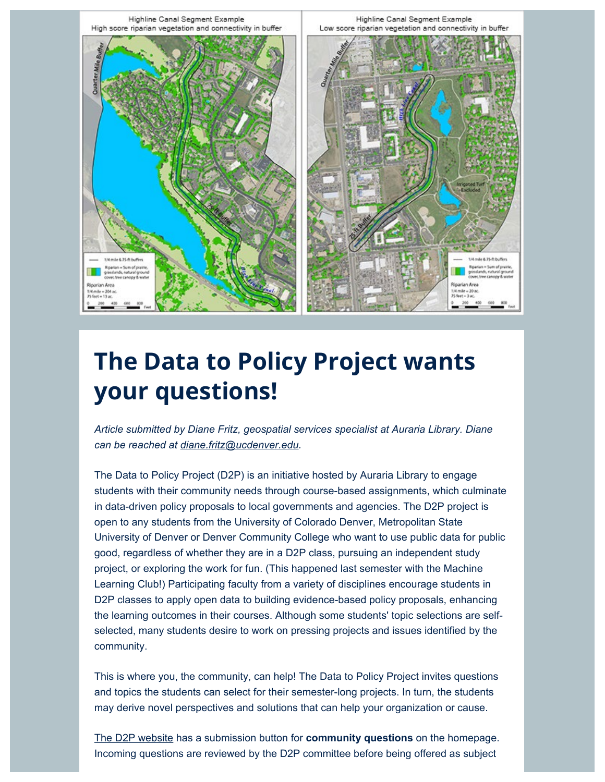

## **The Data to Policy Project wants your questions!**

*Article submitted by Diane Fritz, geospatial services specialist at Auraria Library. Diane can be reached at [diane.fritz@ucdenver.edu](mailto:diane.fritz@ucdenver.edu).*

The Data to Policy Project (D2P) is an initiative hosted by Auraria Library to engage students with their community needs through course-based assignments, which culminate in data-driven policy proposals to local governments and agencies. The D2P project is open to any students from the University of Colorado Denver, Metropolitan State University of Denver or Denver Community College who want to use public data for public good, regardless of whether they are in a D2P class, pursuing an independent study project, or exploring the work for fun. (This happened last semester with the Machine Learning Club!) Participating faculty from a variety of disciplines encourage students in D2P classes to apply open data to building evidence-based policy proposals, enhancing the learning outcomes in their courses. Although some students' topic selections are selfselected, many students desire to work on pressing projects and issues identified by the community.

This is where you, the community, can help! The Data to Policy Project invites questions and topics the students can select for their semester-long projects. In turn, the students may derive novel perspectives and solutions that can help your organization or cause.

[The D2P website](https://drcog.createsend1.com/t/d-l-xujdhit-l-h/) has a submission button for **community questions** on the homepage. Incoming questions are reviewed by the D2P committee before being offered as subject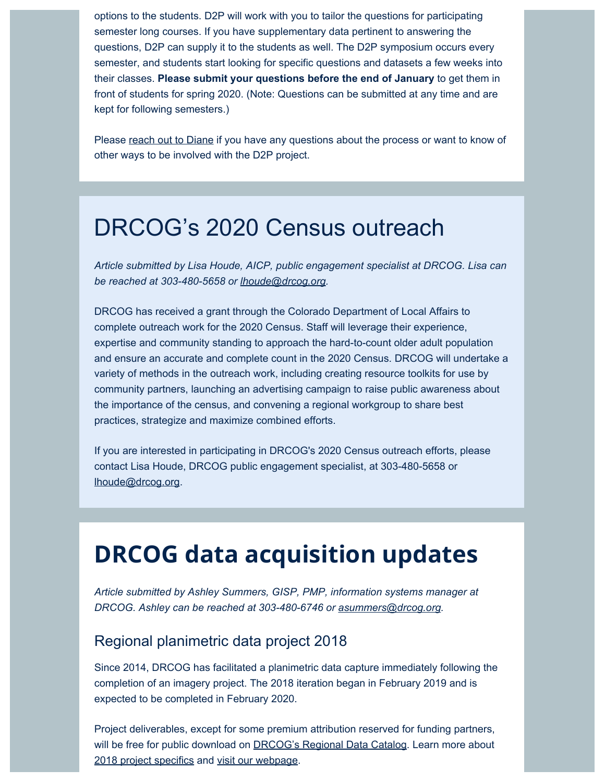options to the students. D2P will work with you to tailor the questions for participating semester long courses. If you have supplementary data pertinent to answering the questions, D2P can supply it to the students as well. The D2P symposium occurs every semester, and students start looking for specific questions and datasets a few weeks into their classes. **Please submit your questions before the end of January** to get them in front of students for spring 2020. (Note: Questions can be submitted at any time and are kept for following semesters.)

Please [reach out to Diane](mailto:diane.fritz@ucdenver.edu) if you have any questions about the process or want to know of other ways to be involved with the D2P project.

### DRCOG's 2020 Census outreach

*Article submitted by Lisa Houde, AICP, public engagement specialist at DRCOG. Lisa can be reached at 303-480-5658 or [lhoude@drcog.org](mailto:lhoude@drcog.org).*

DRCOG has received a grant through the Colorado Department of Local Affairs to complete outreach work for the 2020 Census. Staff will leverage their experience, expertise and community standing to approach the hard-to-count older adult population and ensure an accurate and complete count in the 2020 Census. DRCOG will undertake a variety of methods in the outreach work, including creating resource toolkits for use by community partners, launching an advertising campaign to raise public awareness about the importance of the census, and convening a regional workgroup to share best practices, strategize and maximize combined efforts.

If you are interested in participating in DRCOG's 2020 Census outreach efforts, please contact Lisa Houde, DRCOG public engagement specialist, at 303-480-5658 or [lhoude@drcog.org](mailto:lhoude@drcog.org).

### **DRCOG data acquisition updates**

*Article submitted by Ashley Summers, GISP, PMP, information systems manager at DRCOG. Ashley can be reached at 303-480-6746 or [asummers@drcog.org](mailto:asummers@drcog.org).*

#### Regional planimetric data project 2018

Since 2014, DRCOG has facilitated a planimetric data capture immediately following the completion of an imagery project. The 2018 iteration began in February 2019 and is expected to be completed in February 2020.

Project deliverables, except for some premium attribution reserved for funding partners, will be free for public download on **DRCOG's Regional Data Catalog.** Learn more about [2018 project specifics](https://drcog.createsend1.com/t/d-l-xujdhit-l-u/) and [visit our webpage](https://drcog.createsend1.com/t/d-l-xujdhit-l-o/).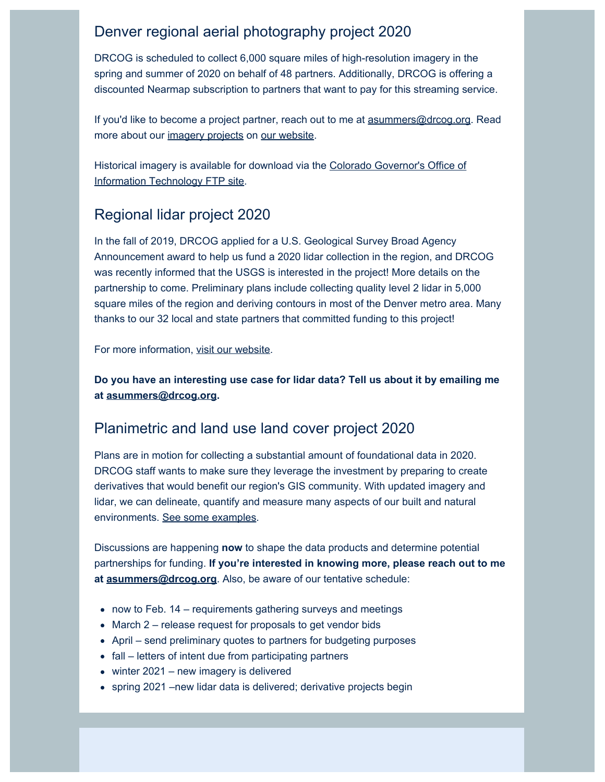#### Denver regional aerial photography project 2020

DRCOG is scheduled to collect 6,000 square miles of high-resolution imagery in the spring and summer of 2020 on behalf of 48 partners. Additionally, DRCOG is offering a discounted Nearmap subscription to partners that want to pay for this streaming service.

If you'd like to become a project partner, reach out to me at [asummers@drcog.org](mailto:asummers@drcog.org). Read more about our [imagery projects](https://drcog.createsend1.com/t/d-l-xujdhit-l-b/) on [our website](https://drcog.createsend1.com/t/d-l-xujdhit-l-m/).

Historical imagery is available for download via the [Colorado Governor's Office of](https://drcog.createsend1.com/t/d-l-xujdhit-l-c/) [Information Technology FTP site.](https://drcog.createsend1.com/t/d-l-xujdhit-l-c/)

#### Regional lidar project 2020

In the fall of 2019, DRCOG applied for a U.S. Geological Survey Broad Agency Announcement award to help us fund a 2020 lidar collection in the region, and DRCOG was recently informed that the USGS is interested in the project! More details on the partnership to come. Preliminary plans include collecting quality level 2 lidar in 5,000 square miles of the region and deriving contours in most of the Denver metro area. Many thanks to our 32 local and state partners that committed funding to this project!

For more information, [visit our website](https://drcog.createsend1.com/t/d-l-xujdhit-l-q/).

**Do you have an interesting use case for lidar data? Tell us about it by emailing me at [asummers@drcog.org.](mailto:asummers@drcog.org)**

#### Planimetric and land use land cover project 2020

Plans are in motion for collecting a substantial amount of foundational data in 2020. DRCOG staff wants to make sure they leverage the investment by preparing to create derivatives that would benefit our region's GIS community. With updated imagery and lidar, we can delineate, quantify and measure many aspects of our built and natural environments. [See some examples](https://drcog.createsend1.com/t/d-l-xujdhit-l-a/).

Discussions are happening **now** to shape the data products and determine potential partnerships for funding. **If you're interested in knowing more, please reach out to me at [asummers@drcog.org](mailto:asummers@drcog.org)**. Also, be aware of our tentative schedule:

- now to Feb. 14 requirements gathering surveys and meetings
- March 2 release request for proposals to get vendor bids
- April send preliminary quotes to partners for budgeting purposes
- fall letters of intent due from participating partners
- winter 2021 new imagery is delivered
- spring 2021 –new lidar data is delivered; derivative projects begin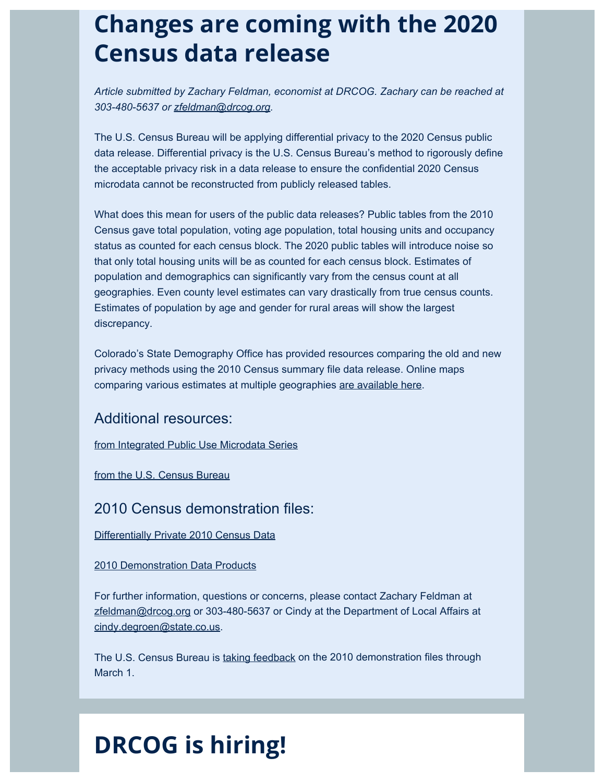### **Changes are coming with the 2020 Census data release**

*Article submitted by Zachary Feldman, economist at DRCOG. Zachary can be reached at 303-480-5637 or [zfeldman@drcog.org.](mailto:zfeldman@drcog.org)*

The U.S. Census Bureau will be applying differential privacy to the 2020 Census public data release. Differential privacy is the U.S. Census Bureau's method to rigorously define the acceptable privacy risk in a data release to ensure the confidential 2020 Census microdata cannot be reconstructed from publicly released tables.

What does this mean for users of the public data releases? Public tables from the 2010 Census gave total population, voting age population, total housing units and occupancy status as counted for each census block. The 2020 public tables will introduce noise so that only total housing units will be as counted for each census block. Estimates of population and demographics can significantly vary from the census count at all geographies. Even county level estimates can vary drastically from true census counts. Estimates of population by age and gender for rural areas will show the largest discrepancy.

Colorado's State Demography Office has provided resources comparing the old and new privacy methods using the 2010 Census summary file data release. Online maps comparing various estimates at multiple geographies [are available here](https://drcog.createsend1.com/t/d-l-xujdhit-l-z/).

Additional resources:

[from Integrated Public Use Microdata Series](https://drcog.createsend1.com/t/d-l-xujdhit-l-v/)

[from the U.S. Census Bureau](https://drcog.createsend1.com/t/d-l-xujdhit-l-e/)

#### 2010 Census demonstration files:

[Differentially Private 2010 Census Data](https://drcog.createsend1.com/t/d-l-xujdhit-l-s/)

[2010 Demonstration Data Products](https://drcog.createsend1.com/t/d-l-xujdhit-l-g/)

For further information, questions or concerns, please contact Zachary Feldman at [zfeldman@drcog.org](mailto:zfeldman@drcog.org) or 303-480-5637 or Cindy at the Department of Local Affairs at [cindy.degroen@state.co.us.](mailto:cindy.degroen@state.co.us)

The U.S. Census Bureau is [taking feedback](mailto:dcmd.2010.demonstration.data.products@census.gov) on the 2010 demonstration files through March 1.

# **DRCOG is hiring!**